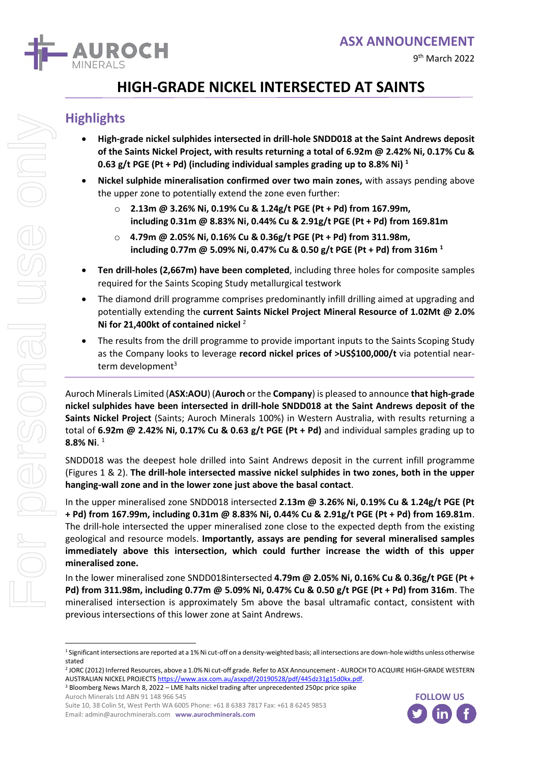



## **HIGH-GRADE NICKEL INTERSECTED AT SAINTS**

### **Highlights**

- **High-grade nickel sulphides intersected in drill-hole SNDD018 at the Saint Andrews deposit of the Saints Nickel Project, with results returning a total of 6.92m @ 2.42% Ni, 0.17% Cu & 0.63 g/t PGE (Pt + Pd) (including individual samples grading up to 8.8% Ni) 1**
- **Nickel sulphide mineralisation confirmed over two main zones,** with assays pending above the upper zone to potentially extend the zone even further:
	- o **2.13m @ 3.26% Ni, 0.19% Cu & 1.24g/t PGE (Pt + Pd) from 167.99m, including 0.31m @ 8.83% Ni, 0.44% Cu & 2.91g/t PGE (Pt + Pd) from 169.81m**
	- o **4.79m @ 2.05% Ni, 0.16% Cu & 0.36g/t PGE (Pt + Pd) from 311.98m, including 0.77m @ 5.09% Ni, 0.47% Cu & 0.50 g/t PGE (Pt + Pd) from 316m <sup>1</sup>**
- **Ten drill-holes (2,667m) have been completed**, including three holes for composite samples required for the Saints Scoping Study metallurgical testwork
- The diamond drill programme comprises predominantly infill drilling aimed at upgrading and potentially extending the **current Saints Nickel Project Mineral Resource of 1.02Mt @ 2.0% Ni for 21,400kt of contained nickel** <sup>2</sup>
- The results from the drill programme to provide important inputs to the Saints Scoping Study as the Company looks to leverage **record nickel prices of >US\$100,000/t** via potential nearterm development $3$

Auroch Minerals Limited (**ASX:AOU**) (**Auroch** or the **Company**) is pleased to announce **that high-grade nickel sulphides have been intersected in drill-hole SNDD018 at the Saint Andrews deposit of the Saints Nickel Project** (Saints; Auroch Minerals 100%) in Western Australia, with results returning a total of **6.92m @ 2.42% Ni, 0.17% Cu & 0.63 g/t PGE (Pt + Pd)** and individual samples grading up to **8.8% Ni**. 1

SNDD018 was the deepest hole drilled into Saint Andrews deposit in the current infill programme (Figures 1 & 2). **The drill-hole intersected massive nickel sulphides in two zones, both in the upper hanging-wall zone and in the lower zone just above the basal contact**.

In the upper mineralised zone SNDD018 intersected **2.13m @ 3.26% Ni, 0.19% Cu & 1.24g/t PGE (Pt + Pd) from 167.99m, including 0.31m @ 8.83% Ni, 0.44% Cu & 2.91g/t PGE (Pt + Pd) from 169.81m**. The drill-hole intersected the upper mineralised zone close to the expected depth from the existing geological and resource models. **Importantly, assays are pending for several mineralised samples immediately above this intersection, which could further increase the width of this upper mineralised zone.**

In the lower mineralised zone SNDD018intersected **4.79m @ 2.05% Ni, 0.16% Cu & 0.36g/t PGE (Pt + Pd) from 311.98m, including 0.77m @ 5.09% Ni, 0.47% Cu & 0.50 g/t PGE (Pt + Pd) from 316m**. The mineralised intersection is approximately 5m above the basal ultramafic contact, consistent with previous intersections of this lower zone at Saint Andrews.

Auroch Minerals Ltd ABN 91 148 966 545 <sup>3</sup> Bloomberg News March 8, 2022 – LME halts nickel trading after unprecedented 250pc price spike

Suite 10, 38 Colin St, West Perth WA 6005 Phone: +61 8 6383 7817 Fax: +61 8 6245 9853 Email: admin@aurochminerals.com **www.aurochminerals.com**



<sup>1</sup> Significant intersections are reported at a 1% Ni cut-off on a density-weighted basis; all intersections are down-hole widths unless otherwise stated

<sup>2</sup> JORC (2012) Inferred Resources, above a 1.0% Ni cut-off grade. Refer to ASX Announcement - AUROCH TO ACQUIRE HIGH-GRADE WESTERN AUSTRALIAN NICKEL PROJECTS [https://www.asx.com.au/asxpdf/20190528/pdf/445dz31g15d0kx.pdf.](https://www.asx.com.au/asxpdf/20190528/pdf/445dz31g15d0kx.pdf)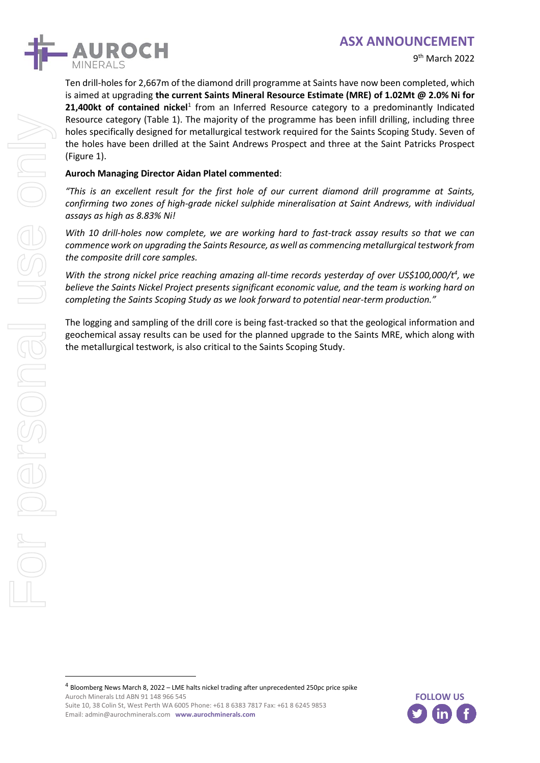

Ten drill-holes for 2,667m of the diamond drill programme at Saints have now been completed, which is aimed at upgrading **the current Saints Mineral Resource Estimate (MRE) of 1.02Mt @ 2.0% Ni for**  21,400kt of contained nickel<sup>1</sup> from an Inferred Resource category to a predominantly Indicated Resource category (Table 1). The majority of the programme has been infill drilling, including three holes specifically designed for metallurgical testwork required for the Saints Scoping Study. Seven of the holes have been drilled at the Saint Andrews Prospect and three at the Saint Patricks Prospect (Figure 1).

### **Auroch Managing Director Aidan Platel commented**:

*"This is an excellent result for the first hole of our current diamond drill programme at Saints, confirming two zones of high-grade nickel sulphide mineralisation at Saint Andrews, with individual assays as high as 8.83% Ni!* 

*With 10 drill-holes now complete, we are working hard to fast-track assay results so that we can commence work on upgrading the Saints Resource, as well as commencing metallurgical testwork from the composite drill core samples.* 

*With the strong nickel price reaching amazing all-time records yesterday of over US\$100,000/t<sup>4</sup> , we believe the Saints Nickel Project presents significant economic value, and the team is working hard on completing the Saints Scoping Study as we look forward to potential near-term production."*

The logging and sampling of the drill core is being fast-tracked so that the geological information and geochemical assay results can be used for the planned upgrade to the Saints MRE, which along with the metallurgical testwork, is also critical to the Saints Scoping Study.

Auroch Minerals Ltd ABN 91 148 966 545



<sup>&</sup>lt;sup>4</sup> Bloomberg News March 8, 2022 – LME halts nickel trading after unprecedented 250pc price spike

Suite 10, 38 Colin St, West Perth WA 6005 Phone: +61 8 6383 7817 Fax: +61 8 6245 9853 Email: admin@aurochminerals.com **www.aurochminerals.com**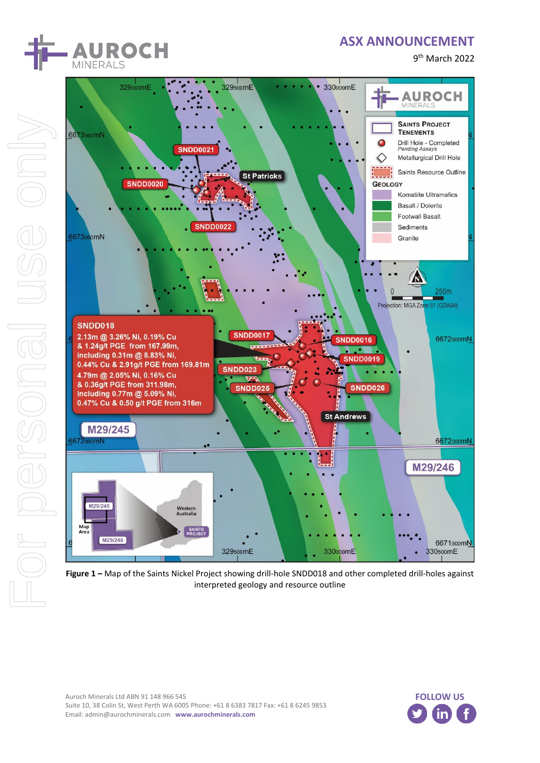

9 th March 2022



**Figure 1 –** Map of the Saints Nickel Project showing drill-hole SNDD018 and other completed drill-holes against interpreted geology and resource outline

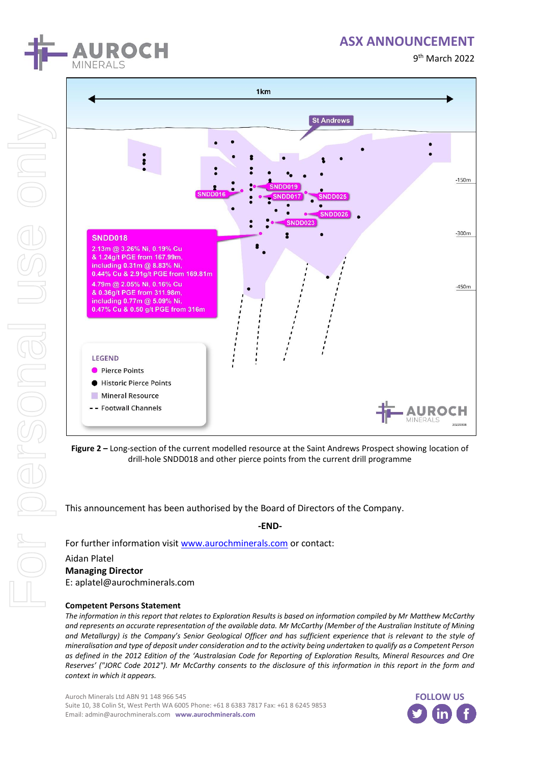

9 th March 2022



**Figure 2 –** Long-section of the current modelled resource at the Saint Andrews Prospect showing location of drill-hole SNDD018 and other pierce points from the current drill programme

This announcement has been authorised by the Board of Directors of the Company.

**-END-**

For further information visi[t www.aurochminerals.com](http://www.aurochminerals.com/) or contact:

#### Aidan Platel

**Managing Director**

E: aplatel@aurochminerals.com

#### **Competent Persons Statement**

*The information in this report that relates to Exploration Results is based on information compiled by Mr Matthew McCarthy and represents an accurate representation of the available data. Mr McCarthy (Member of the Australian Institute of Mining and Metallurgy) is the Company's Senior Geological Officer and has sufficient experience that is relevant to the style of mineralisation and type of deposit under consideration and to the activity being undertaken to qualify as a Competent Person as defined in the 2012 Edition of the 'Australasian Code for Reporting of Exploration Results, Mineral Resources and Ore Reserves' ("JORC Code 2012"). Mr McCarthy consents to the disclosure of this information in this report in the form and context in which it appears.*

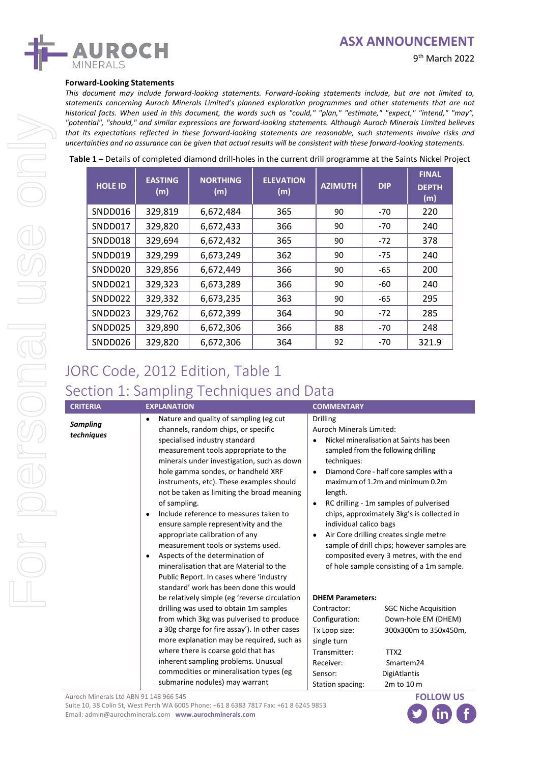

#### **Forward-Looking Statements**

*This document may include forward-looking statements. Forward-looking statements include, but are not limited to, statements concerning Auroch Minerals Limited's planned exploration programmes and other statements that are not historical facts. When used in this document, the words such as "could," "plan," "estimate," "expect," "intend," "may", "potential", "should," and similar expressions are forward-looking statements. Although Auroch Minerals Limited believes that its expectations reflected in these forward-looking statements are reasonable, such statements involve risks and uncertainties and no assurance can be given that actual results will be consistent with these forward-looking statements.*

|  |  |  | Table 1 – Details of completed diamond drill-holes in the current drill programme at the Saints Nickel Project |
|--|--|--|----------------------------------------------------------------------------------------------------------------|
|--|--|--|----------------------------------------------------------------------------------------------------------------|

| <b>HOLE ID</b> | <b>EASTING</b><br>(m) | <b>NORTHING</b><br>(m) | <b>ELEVATION</b><br>(m) | <b>AZIMUTH</b> | <b>DIP</b> | <b>FINAL</b><br><b>DEPTH</b><br>(m) |
|----------------|-----------------------|------------------------|-------------------------|----------------|------------|-------------------------------------|
| SNDD016        | 329,819               | 6,672,484              | 365                     | 90             | $-70$      | 220                                 |
| SNDD017        | 329,820               | 6,672,433              | 366                     | 90             | $-70$      | 240                                 |
| SNDD018        | 329,694               | 6,672,432              | 365                     | 90             | $-72$      | 378                                 |
| SNDD019        | 329,299               | 6,673,249              | 362                     | 90             | $-75$      | 240                                 |
| SNDD020        | 329,856               | 6,672,449              | 366                     | 90             | $-65$      | 200                                 |
| SNDD021        | 329,323               | 6,673,289              | 366                     | 90             | -60        | 240                                 |
| SNDD022        | 329,332               | 6,673,235              | 363                     | 90             | -65        | 295                                 |
| SNDD023        | 329,762               | 6,672,399              | 364                     | 90             | $-72$      | 285                                 |
| SNDD025        | 329,890               | 6,672,306              | 366                     | 88             | $-70$      | 248                                 |
| SNDD026        | 329,820               | 6,672,306              | 364                     | 92             | -70        | 321.9                               |

## JORC Code, 2012 Edition, Table 1 Section 1: Sampling Techniques and Data

| <b>CRITERIA</b>               | <b>EXPLANATION</b>                                                                                                                                                                                                                                                                                                                                                                                                                                                                                                                                                                                                                                                                                                | <b>COMMENTARY</b>                                                                                                                                                                                                                                                                                                                                                                                                                                                                                                                                                   |  |  |
|-------------------------------|-------------------------------------------------------------------------------------------------------------------------------------------------------------------------------------------------------------------------------------------------------------------------------------------------------------------------------------------------------------------------------------------------------------------------------------------------------------------------------------------------------------------------------------------------------------------------------------------------------------------------------------------------------------------------------------------------------------------|---------------------------------------------------------------------------------------------------------------------------------------------------------------------------------------------------------------------------------------------------------------------------------------------------------------------------------------------------------------------------------------------------------------------------------------------------------------------------------------------------------------------------------------------------------------------|--|--|
| <b>Sampling</b><br>techniques | Nature and quality of sampling (eg cut<br>$\bullet$<br>channels, random chips, or specific<br>specialised industry standard<br>measurement tools appropriate to the<br>minerals under investigation, such as down<br>hole gamma sondes, or handheld XRF<br>instruments, etc). These examples should<br>not be taken as limiting the broad meaning<br>of sampling.<br>Include reference to measures taken to<br>$\bullet$<br>ensure sample representivity and the<br>appropriate calibration of any<br>measurement tools or systems used.<br>Aspects of the determination of<br>٠<br>mineralisation that are Material to the<br>Public Report. In cases where 'industry<br>standard' work has been done this would | <b>Drilling</b><br>Auroch Minerals Limited:<br>Nickel mineralisation at Saints has been<br>sampled from the following drilling<br>techniques:<br>Diamond Core - half core samples with a<br>$\bullet$<br>maximum of 1.2m and minimum 0.2m<br>length.<br>RC drilling - 1m samples of pulverised<br>$\bullet$<br>chips, approximately 3kg's is collected in<br>individual calico bags<br>Air Core drilling creates single metre<br>sample of drill chips; however samples are<br>composited every 3 metres, with the end<br>of hole sample consisting of a 1m sample. |  |  |
|                               | be relatively simple (eg 'reverse circulation<br>drilling was used to obtain 1m samples<br>from which 3kg was pulverised to produce<br>a 30g charge for fire assay'). In other cases<br>more explanation may be required, such as<br>where there is coarse gold that has<br>inherent sampling problems. Unusual<br>commodities or mineralisation types (eg<br>submarine nodules) may warrant                                                                                                                                                                                                                                                                                                                      | <b>DHEM Parameters:</b><br><b>SGC Niche Acquisition</b><br>Contractor:<br>Down-hole EM (DHEM)<br>Configuration:<br>300x300m to 350x450m,<br>Tx Loop size:<br>single turn<br>Transmitter:<br>TTX2<br>Receiver:<br>Smartem24<br>Sensor:<br><b>DigiAtlantis</b><br>Station spacing:<br>2m to 10 m                                                                                                                                                                                                                                                                      |  |  |

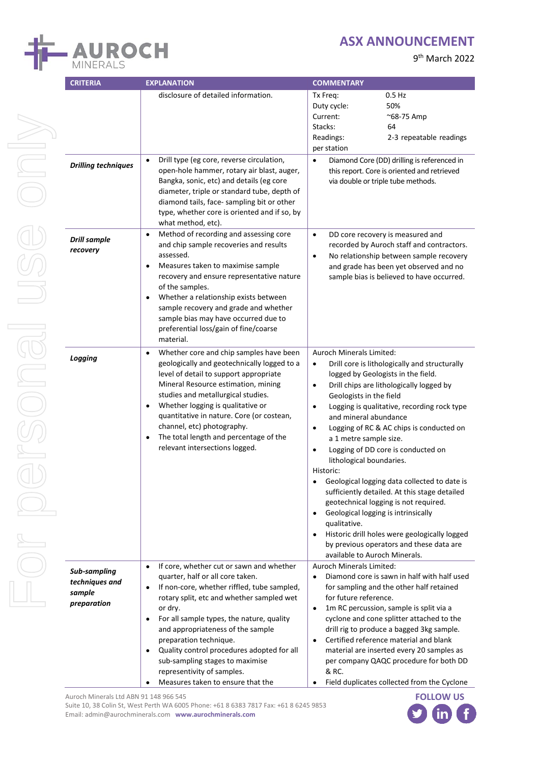

### 9 th March 2022

| <b>CRITERIA</b>                                         | <b>EXPLANATION</b>                                                                                                                                                                                                                                                                                                                                                                                                                                                                                      | <b>COMMENTARY</b>                                                                                                                                                                                                                                                                                                                                                                                                                                                                                                                                                                                                                                                                                                                                                                                                                                    |  |  |
|---------------------------------------------------------|---------------------------------------------------------------------------------------------------------------------------------------------------------------------------------------------------------------------------------------------------------------------------------------------------------------------------------------------------------------------------------------------------------------------------------------------------------------------------------------------------------|------------------------------------------------------------------------------------------------------------------------------------------------------------------------------------------------------------------------------------------------------------------------------------------------------------------------------------------------------------------------------------------------------------------------------------------------------------------------------------------------------------------------------------------------------------------------------------------------------------------------------------------------------------------------------------------------------------------------------------------------------------------------------------------------------------------------------------------------------|--|--|
|                                                         | disclosure of detailed information.<br>Drill type (eg core, reverse circulation,<br>$\bullet$                                                                                                                                                                                                                                                                                                                                                                                                           | $0.5$ Hz<br>Tx Freq:<br>50%<br>Duty cycle:<br>Current:<br>$^{\sim}68-75$ Amp<br>Stacks:<br>64<br>Readings:<br>2-3 repeatable readings<br>per station<br>Diamond Core (DD) drilling is referenced in<br>$\bullet$                                                                                                                                                                                                                                                                                                                                                                                                                                                                                                                                                                                                                                     |  |  |
| <b>Drilling techniques</b>                              | open-hole hammer, rotary air blast, auger,<br>Bangka, sonic, etc) and details (eg core<br>diameter, triple or standard tube, depth of<br>diamond tails, face-sampling bit or other<br>type, whether core is oriented and if so, by<br>what method, etc).                                                                                                                                                                                                                                                | this report. Core is oriented and retrieved<br>via double or triple tube methods.                                                                                                                                                                                                                                                                                                                                                                                                                                                                                                                                                                                                                                                                                                                                                                    |  |  |
| <b>Drill sample</b><br>recovery                         | Method of recording and assessing core<br>$\bullet$<br>and chip sample recoveries and results<br>assessed.<br>Measures taken to maximise sample<br>$\bullet$<br>recovery and ensure representative nature<br>of the samples.<br>Whether a relationship exists between<br>$\bullet$<br>sample recovery and grade and whether<br>sample bias may have occurred due to<br>preferential loss/gain of fine/coarse<br>material.                                                                               | DD core recovery is measured and<br>$\bullet$<br>recorded by Auroch staff and contractors.<br>No relationship between sample recovery<br>$\bullet$<br>and grade has been yet observed and no<br>sample bias is believed to have occurred.                                                                                                                                                                                                                                                                                                                                                                                                                                                                                                                                                                                                            |  |  |
| Logging                                                 | Whether core and chip samples have been<br>$\bullet$<br>geologically and geotechnically logged to a<br>level of detail to support appropriate<br>Mineral Resource estimation, mining<br>studies and metallurgical studies.<br>Whether logging is qualitative or<br>$\bullet$<br>quantitative in nature. Core (or costean,<br>channel, etc) photography.<br>The total length and percentage of the<br>$\bullet$<br>relevant intersections logged.                                                        | <b>Auroch Minerals Limited:</b><br>Drill core is lithologically and structurally<br>$\bullet$<br>logged by Geologists in the field.<br>Drill chips are lithologically logged by<br>$\bullet$<br>Geologists in the field<br>Logging is qualitative, recording rock type<br>$\bullet$<br>and mineral abundance<br>Logging of RC & AC chips is conducted on<br>$\bullet$<br>a 1 metre sample size.<br>Logging of DD core is conducted on<br>$\bullet$<br>lithological boundaries.<br>Historic:<br>Geological logging data collected to date is<br>sufficiently detailed. At this stage detailed<br>geotechnical logging is not required.<br>Geological logging is intrinsically<br>$\bullet$<br>qualitative.<br>Historic drill holes were geologically logged<br>$\bullet$<br>by previous operators and these data are<br>available to Auroch Minerals. |  |  |
| Sub-sampling<br>techniques and<br>sample<br>preparation | If core, whether cut or sawn and whether<br>$\bullet$<br>quarter, half or all core taken.<br>If non-core, whether riffled, tube sampled,<br>$\bullet$<br>rotary split, etc and whether sampled wet<br>or dry.<br>For all sample types, the nature, quality<br>$\bullet$<br>and appropriateness of the sample<br>preparation technique.<br>Quality control procedures adopted for all<br>$\bullet$<br>sub-sampling stages to maximise<br>representivity of samples.<br>Measures taken to ensure that the | <b>Auroch Minerals Limited:</b><br>Diamond core is sawn in half with half used<br>for sampling and the other half retained<br>for future reference.<br>1m RC percussion, sample is split via a<br>$\bullet$<br>cyclone and cone splitter attached to the<br>drill rig to produce a bagged 3kg sample.<br>Certified reference material and blank<br>$\bullet$<br>material are inserted every 20 samples as<br>per company QAQC procedure for both DD<br>& RC.<br>Field duplicates collected from the Cyclone                                                                                                                                                                                                                                                                                                                                          |  |  |

Auroch Minerals Ltd ABN 91 148 966 545

Suite 10, 38 Colin St, West Perth WA 6005 Phone: +61 8 6383 7817 Fax: +61 8 6245 9853 Email: admin@aurochminerals.com **www.aurochminerals.com**

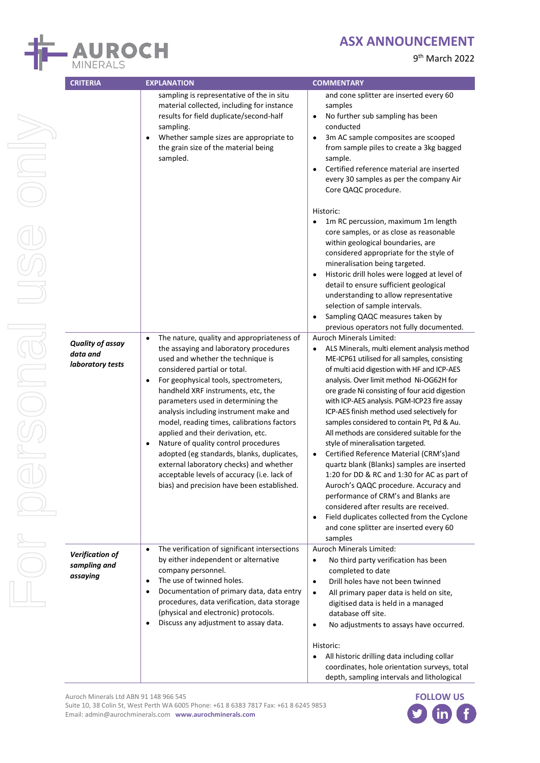### 9 th March 2022



 $\overline{a}$ 

**AUROCH** 

|                                             | <b>EXPLANATION</b>                                                                                                                                                                                                                                                                                                                                                                                                                                                                                                                                                                                     | <b>COMMENTARY</b>                                                                                                                                                                                                                                                                                                                                                                                                                                                                                                                                                                                                                                                                                                                                                                                                                                            |
|---------------------------------------------|--------------------------------------------------------------------------------------------------------------------------------------------------------------------------------------------------------------------------------------------------------------------------------------------------------------------------------------------------------------------------------------------------------------------------------------------------------------------------------------------------------------------------------------------------------------------------------------------------------|--------------------------------------------------------------------------------------------------------------------------------------------------------------------------------------------------------------------------------------------------------------------------------------------------------------------------------------------------------------------------------------------------------------------------------------------------------------------------------------------------------------------------------------------------------------------------------------------------------------------------------------------------------------------------------------------------------------------------------------------------------------------------------------------------------------------------------------------------------------|
| <b>CRITERIA</b>                             | sampling is representative of the in situ<br>material collected, including for instance<br>results for field duplicate/second-half<br>sampling.<br>Whether sample sizes are appropriate to<br>the grain size of the material being<br>sampled.                                                                                                                                                                                                                                                                                                                                                         | and cone splitter are inserted every 60<br>samples<br>No further sub sampling has been<br>$\bullet$<br>conducted<br>3m AC sample composites are scooped<br>$\bullet$<br>from sample piles to create a 3kg bagged<br>sample.<br>Certified reference material are inserted<br>$\bullet$<br>every 30 samples as per the company Air<br>Core QAQC procedure.<br>Historic:<br>1m RC percussion, maximum 1m length<br>$\bullet$<br>core samples, or as close as reasonable<br>within geological boundaries, are<br>considered appropriate for the style of<br>mineralisation being targeted.<br>Historic drill holes were logged at level of<br>$\bullet$<br>detail to ensure sufficient geological                                                                                                                                                                |
| Quality of assay                            | The nature, quality and appropriateness of<br>$\bullet$                                                                                                                                                                                                                                                                                                                                                                                                                                                                                                                                                | understanding to allow representative<br>selection of sample intervals.<br>Sampling QAQC measures taken by<br>previous operators not fully documented.<br>Auroch Minerals Limited:                                                                                                                                                                                                                                                                                                                                                                                                                                                                                                                                                                                                                                                                           |
| data and<br>laboratory tests                | the assaying and laboratory procedures<br>used and whether the technique is<br>considered partial or total.<br>For geophysical tools, spectrometers,<br>٠<br>handheld XRF instruments, etc, the<br>parameters used in determining the<br>analysis including instrument make and<br>model, reading times, calibrations factors<br>applied and their derivation, etc.<br>Nature of quality control procedures<br>٠<br>adopted (eg standards, blanks, duplicates,<br>external laboratory checks) and whether<br>acceptable levels of accuracy (i.e. lack of<br>bias) and precision have been established. | ALS Minerals, multi element analysis method<br>ME-ICP61 utilised for all samples, consisting<br>of multi acid digestion with HF and ICP-AES<br>analysis. Over limit method Ni-OG62H for<br>ore grade Ni consisting of four acid digestion<br>with ICP-AES analysis. PGM-ICP23 fire assay<br>ICP-AES finish method used selectively for<br>samples considered to contain Pt, Pd & Au.<br>All methods are considered suitable for the<br>style of mineralisation targeted.<br>Certified Reference Material (CRM's)and<br>$\bullet$<br>quartz blank (Blanks) samples are inserted<br>1:20 for DD & RC and 1:30 for AC as part of<br>Auroch's QAQC procedure. Accuracy and<br>performance of CRM's and Blanks are<br>considered after results are received.<br>Field duplicates collected from the Cyclone<br>and cone splitter are inserted every 60<br>samples |
| Verification of<br>sampling and<br>assaying | The verification of significant intersections<br>$\bullet$<br>by either independent or alternative<br>company personnel.<br>The use of twinned holes.<br>$\bullet$<br>Documentation of primary data, data entry<br>٠<br>procedures, data verification, data storage<br>(physical and electronic) protocols.<br>Discuss any adjustment to assay data.<br>٠                                                                                                                                                                                                                                              | Auroch Minerals Limited:<br>No third party verification has been<br>$\bullet$<br>completed to date<br>Drill holes have not been twinned<br>$\bullet$<br>All primary paper data is held on site,<br>$\bullet$<br>digitised data is held in a managed<br>database off site.<br>No adjustments to assays have occurred.<br>$\bullet$<br>Historic:<br>All historic drilling data including collar<br>coordinates, hole orientation surveys, total<br>depth, sampling intervals and lithological                                                                                                                                                                                                                                                                                                                                                                  |

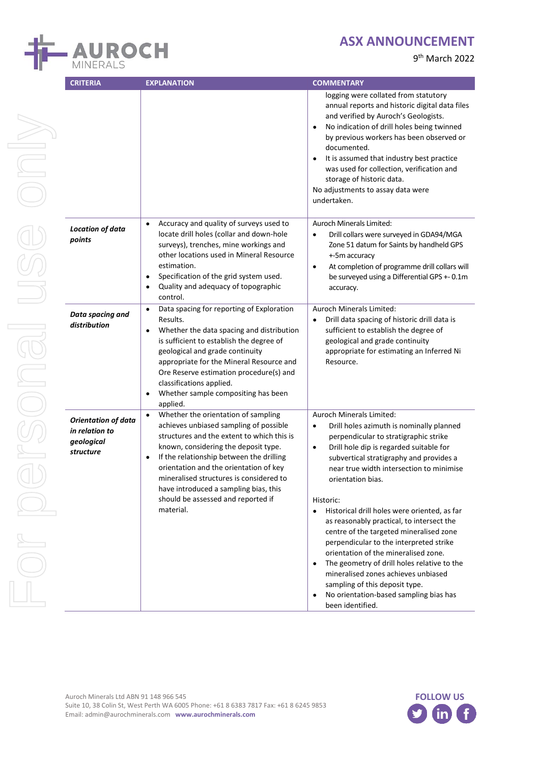

### 9 th March 2022



| <b>CRITERIA</b>                                                         | <b>EXPLANATION</b>                                                                                                                                                                                                                                                                                                                                                                               | <b>COMMENTARY</b>                                                                                                                                                                                                                                                                                                                                                                                                                            |
|-------------------------------------------------------------------------|--------------------------------------------------------------------------------------------------------------------------------------------------------------------------------------------------------------------------------------------------------------------------------------------------------------------------------------------------------------------------------------------------|----------------------------------------------------------------------------------------------------------------------------------------------------------------------------------------------------------------------------------------------------------------------------------------------------------------------------------------------------------------------------------------------------------------------------------------------|
|                                                                         |                                                                                                                                                                                                                                                                                                                                                                                                  | logging were collated from statutory<br>annual reports and historic digital data files<br>and verified by Auroch's Geologists.<br>No indication of drill holes being twinned<br>$\bullet$<br>by previous workers has been observed or<br>documented.<br>It is assumed that industry best practice<br>was used for collection, verification and<br>storage of historic data.<br>No adjustments to assay data were<br>undertaken.              |
| <b>Location of data</b><br>points                                       | Accuracy and quality of surveys used to<br>$\bullet$<br>locate drill holes (collar and down-hole<br>surveys), trenches, mine workings and<br>other locations used in Mineral Resource<br>estimation.<br>Specification of the grid system used.<br>$\bullet$<br>Quality and adequacy of topographic<br>$\bullet$<br>control.                                                                      | Auroch Minerals Limited:<br>Drill collars were surveyed in GDA94/MGA<br>$\bullet$<br>Zone 51 datum for Saints by handheld GPS<br>+-5m accuracy<br>At completion of programme drill collars will<br>$\bullet$<br>be surveyed using a Differential GPS +- 0.1m<br>accuracy.                                                                                                                                                                    |
| Data spacing and<br>distribution                                        | Data spacing for reporting of Exploration<br>$\bullet$<br>Results.<br>Whether the data spacing and distribution<br>$\bullet$<br>is sufficient to establish the degree of<br>geological and grade continuity<br>appropriate for the Mineral Resource and<br>Ore Reserve estimation procedure(s) and<br>classifications applied.<br>Whether sample compositing has been<br>applied.                | <b>Auroch Minerals Limited:</b><br>Drill data spacing of historic drill data is<br>sufficient to establish the degree of<br>geological and grade continuity<br>appropriate for estimating an Inferred Ni<br>Resource.                                                                                                                                                                                                                        |
| <b>Orientation of data</b><br>in relation to<br>geological<br>structure | Whether the orientation of sampling<br>achieves unbiased sampling of possible<br>structures and the extent to which this is<br>known, considering the deposit type.<br>If the relationship between the drilling<br>$\bullet$<br>orientation and the orientation of key<br>mineralised structures is considered to<br>have introduced a sampling bias, this<br>should be assessed and reported if | Auroch Minerals Limited:<br>Drill holes azimuth is nominally planned<br>$\bullet$<br>perpendicular to stratigraphic strike<br>Drill hole dip is regarded suitable for<br>$\bullet$<br>subvertical stratigraphy and provides a<br>near true width intersection to minimise<br>orientation bias.<br>Historic:                                                                                                                                  |
|                                                                         | material.                                                                                                                                                                                                                                                                                                                                                                                        | Historical drill holes were oriented, as far<br>$\bullet$<br>as reasonably practical, to intersect the<br>centre of the targeted mineralised zone<br>perpendicular to the interpreted strike<br>orientation of the mineralised zone.<br>The geometry of drill holes relative to the<br>$\bullet$<br>mineralised zones achieves unbiased<br>sampling of this deposit type.<br>No orientation-based sampling bias has<br>٠<br>been identified. |

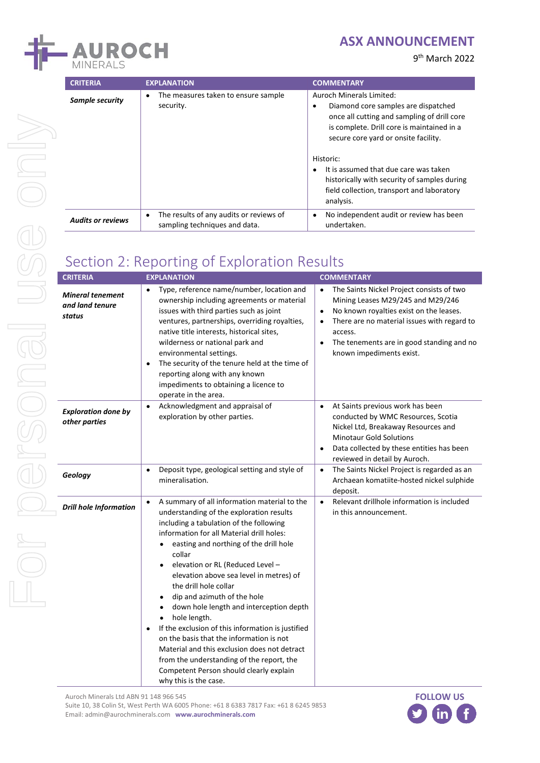

9 th March 2022

| <b>CRITERIA</b>          | <b>EXPLANATION</b>                                                                    | <b>COMMENTARY</b>                                                                                                                                                                                    |
|--------------------------|---------------------------------------------------------------------------------------|------------------------------------------------------------------------------------------------------------------------------------------------------------------------------------------------------|
| Sample security          | The measures taken to ensure sample<br>$\bullet$<br>security.                         | Auroch Minerals Limited:<br>Diamond core samples are dispatched<br>once all cutting and sampling of drill core<br>is complete. Drill core is maintained in a<br>secure core yard or onsite facility. |
|                          |                                                                                       | Historic:<br>It is assumed that due care was taken<br>historically with security of samples during<br>field collection, transport and laboratory<br>analysis.                                        |
| <b>Audits or reviews</b> | The results of any audits or reviews of<br>$\bullet$<br>sampling techniques and data. | No independent audit or review has been<br>$\bullet$<br>undertaken.                                                                                                                                  |

# Section 2: Reporting of Exploration Results

| <b>CRITERIA</b>                                      | <b>EXPLANATION</b>                                                                                                                                                                                                                                                                                                                                                                                                                                                                                                                                                                                                                                                                                                                                                | <b>COMMENTARY</b>                                                                                                                                                                                                                                                                                                |
|------------------------------------------------------|-------------------------------------------------------------------------------------------------------------------------------------------------------------------------------------------------------------------------------------------------------------------------------------------------------------------------------------------------------------------------------------------------------------------------------------------------------------------------------------------------------------------------------------------------------------------------------------------------------------------------------------------------------------------------------------------------------------------------------------------------------------------|------------------------------------------------------------------------------------------------------------------------------------------------------------------------------------------------------------------------------------------------------------------------------------------------------------------|
| <b>Mineral tenement</b><br>and land tenure<br>status | Type, reference name/number, location and<br>ownership including agreements or material<br>issues with third parties such as joint<br>ventures, partnerships, overriding royalties,<br>native title interests, historical sites,<br>wilderness or national park and<br>environmental settings.<br>The security of the tenure held at the time of<br>$\bullet$<br>reporting along with any known<br>impediments to obtaining a licence to<br>operate in the area.                                                                                                                                                                                                                                                                                                  | The Saints Nickel Project consists of two<br>$\bullet$<br>Mining Leases M29/245 and M29/246<br>No known royalties exist on the leases.<br>$\bullet$<br>There are no material issues with regard to<br>$\bullet$<br>access.<br>The tenements are in good standing and no<br>$\bullet$<br>known impediments exist. |
| <b>Exploration done by</b><br>other parties          | Acknowledgment and appraisal of<br>$\bullet$<br>exploration by other parties.                                                                                                                                                                                                                                                                                                                                                                                                                                                                                                                                                                                                                                                                                     | At Saints previous work has been<br>$\bullet$<br>conducted by WMC Resources, Scotia<br>Nickel Ltd, Breakaway Resources and<br><b>Minotaur Gold Solutions</b><br>Data collected by these entities has been<br>$\bullet$<br>reviewed in detail by Auroch.                                                          |
| Geology                                              | Deposit type, geological setting and style of<br>$\bullet$<br>mineralisation.                                                                                                                                                                                                                                                                                                                                                                                                                                                                                                                                                                                                                                                                                     | The Saints Nickel Project is regarded as an<br>$\bullet$<br>Archaean komatiite-hosted nickel sulphide<br>deposit.                                                                                                                                                                                                |
| <b>Drill hole Information</b>                        | A summary of all information material to the<br>$\bullet$<br>understanding of the exploration results<br>including a tabulation of the following<br>information for all Material drill holes:<br>easting and northing of the drill hole<br>$\bullet$<br>collar<br>elevation or RL (Reduced Level -<br>$\bullet$<br>elevation above sea level in metres) of<br>the drill hole collar<br>dip and azimuth of the hole<br>down hole length and interception depth<br>$\bullet$<br>hole length.<br>If the exclusion of this information is justified<br>٠<br>on the basis that the information is not<br>Material and this exclusion does not detract<br>from the understanding of the report, the<br>Competent Person should clearly explain<br>why this is the case. | Relevant drillhole information is included<br>$\bullet$<br>in this announcement.                                                                                                                                                                                                                                 |